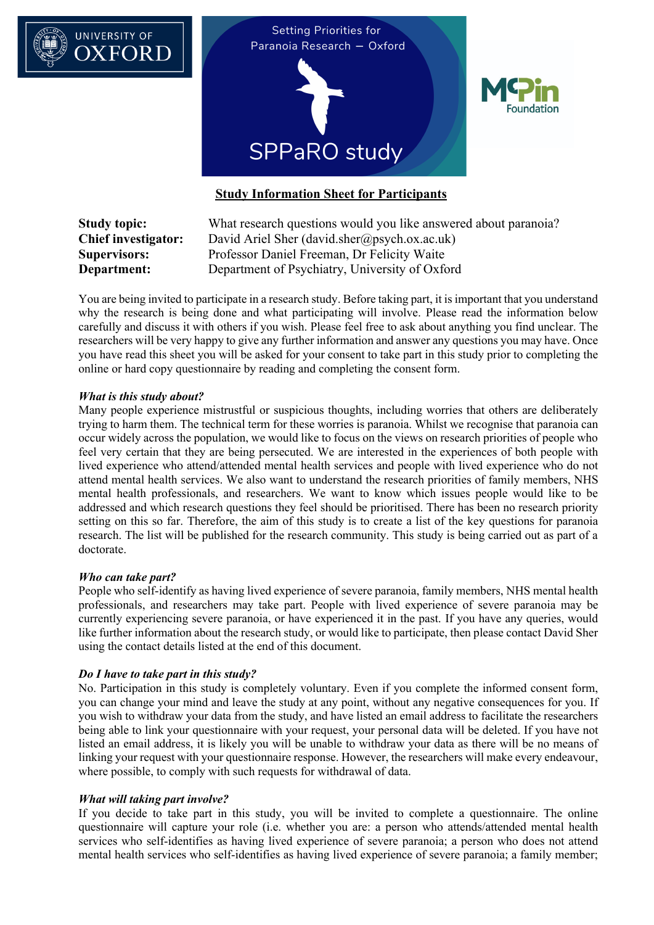

**Study topic:** What research questions would you like answered about paranoia? **Chief investigator:** David Ariel Sher (david.sher@psych.ox.ac.uk) **Supervisors:** Professor Daniel Freeman, Dr Felicity Waite **Department:** Department of Psychiatry, University of Oxford

You are being invited to participate in a research study. Before taking part, it is important that you understand why the research is being done and what participating will involve. Please read the information below carefully and discuss it with others if you wish. Please feel free to ask about anything you find unclear. The researchers will be very happy to give any further information and answer any questions you may have. Once you have read this sheet you will be asked for your consent to take part in this study prior to completing the online or hard copy questionnaire by reading and completing the consent form.

## *What is this study about?*

Many people experience mistrustful or suspicious thoughts, including worries that others are deliberately trying to harm them. The technical term for these worries is paranoia. Whilst we recognise that paranoia can occur widely across the population, we would like to focus on the views on research priorities of people who feel very certain that they are being persecuted. We are interested in the experiences of both people with lived experience who attend/attended mental health services and people with lived experience who do not attend mental health services. We also want to understand the research priorities of family members, NHS mental health professionals, and researchers. We want to know which issues people would like to be addressed and which research questions they feel should be prioritised. There has been no research priority setting on this so far. Therefore, the aim of this study is to create a list of the key questions for paranoia research. The list will be published for the research community. This study is being carried out as part of a doctorate.

## *Who can take part?*

People who self-identify as having lived experience of severe paranoia, family members, NHS mental health professionals, and researchers may take part. People with lived experience of severe paranoia may be currently experiencing severe paranoia, or have experienced it in the past. If you have any queries, would like further information about the research study, or would like to participate, then please contact David Sher using the contact details listed at the end of this document.

## *Do I have to take part in this study?*

No. Participation in this study is completely voluntary. Even if you complete the informed consent form, you can change your mind and leave the study at any point, without any negative consequences for you. If you wish to withdraw your data from the study, and have listed an email address to facilitate the researchers being able to link your questionnaire with your request, your personal data will be deleted. If you have not listed an email address, it is likely you will be unable to withdraw your data as there will be no means of linking your request with your questionnaire response. However, the researchers will make every endeavour, where possible, to comply with such requests for withdrawal of data.

## *What will taking part involve?*

If you decide to take part in this study, you will be invited to complete a questionnaire. The online questionnaire will capture your role (i.e. whether you are: a person who attends/attended mental health services who self-identifies as having lived experience of severe paranoia; a person who does not attend mental health services who self-identifies as having lived experience of severe paranoia; a family member;